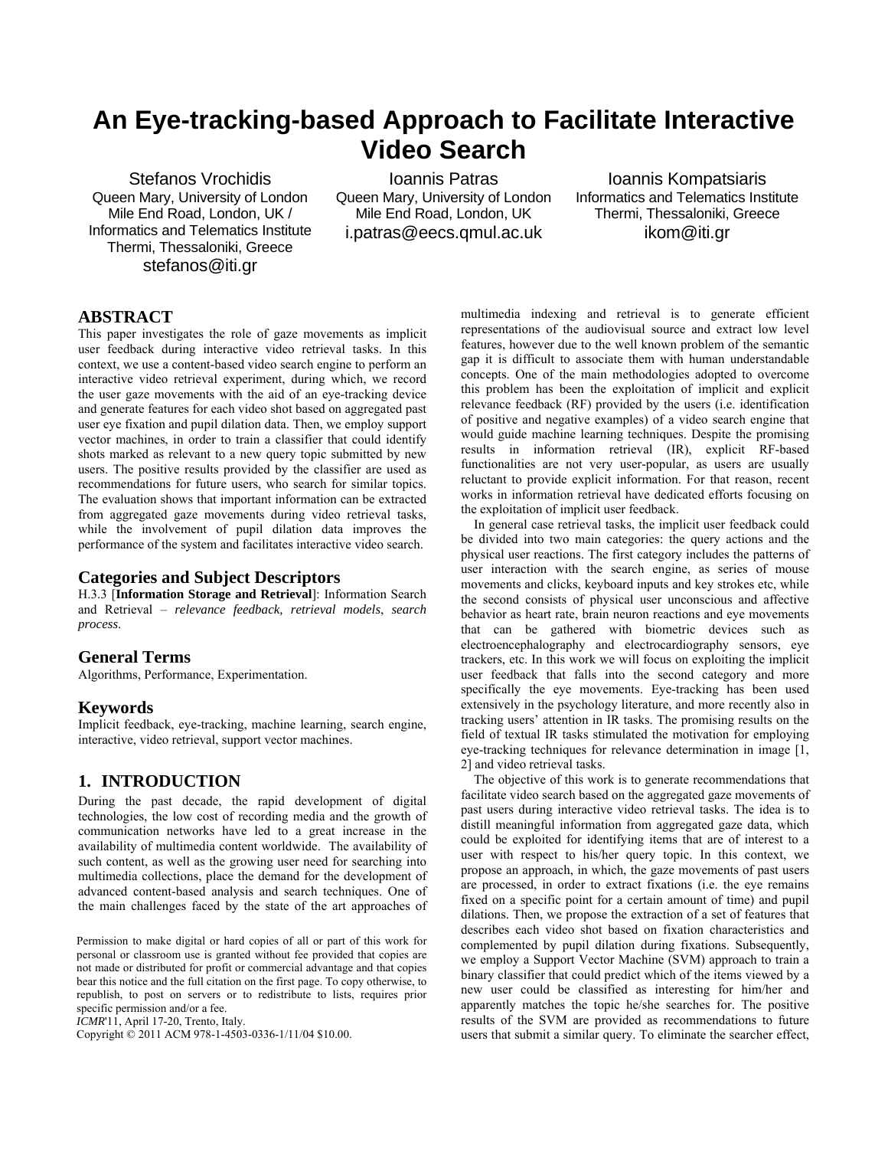# **An Eye-tracking-based Approach to Facilitate Interactive Video Search**

Stefanos Vrochidis Queen Mary, University of London Mile End Road, London, UK / Informatics and Telematics Institute Thermi, Thessaloniki, Greece stefanos@iti.gr

Ioannis Patras Queen Mary, University of London Mile End Road, London, UK i.patras@eecs.qmul.ac.uk

Ioannis Kompatsiaris Informatics and Telematics Institute Thermi, Thessaloniki, Greece ikom@iti.gr

## **ABSTRACT**

This paper investigates the role of gaze movements as implicit user feedback during interactive video retrieval tasks. In this context, we use a content-based video search engine to perform an interactive video retrieval experiment, during which, we record the user gaze movements with the aid of an eye-tracking device and generate features for each video shot based on aggregated past user eye fixation and pupil dilation data. Then, we employ support vector machines, in order to train a classifier that could identify shots marked as relevant to a new query topic submitted by new users. The positive results provided by the classifier are used as recommendations for future users, who search for similar topics. The evaluation shows that important information can be extracted from aggregated gaze movements during video retrieval tasks, while the involvement of pupil dilation data improves the performance of the system and facilitates interactive video search.

#### **Categories and Subject Descriptors**

H.3.3 [**[Information Storage and Retrieval](http://www.acm.org/class/1998/H.3.html)**]: [Information Search](http://www.acm.org/class/1998/H.3.3.html)  [and Retrieval](http://www.acm.org/class/1998/H.3.3.html) – *relevance feedback, retrieval models*, *search process*.

#### **General Terms**

Algorithms, Performance, Experimentation.

#### **Keywords**

Implicit feedback, eye-tracking, machine learning, search engine, interactive, video retrieval, support vector machines.

# **1. INTRODUCTION**

During the past decade, the rapid development of digital technologies, the low cost of recording media and the growth of communication networks have led to a great increase in the availability of multimedia content worldwide. The availability of such content, as well as the growing user need for searching into multimedia collections, place the demand for the development of advanced content-based analysis and search techniques. One of the main challenges faced by the state of the art approaches of

Permission to make digital or hard copies of all or part of this work for personal or classroom use is granted without fee provided that copies are not made or distributed for profit or commercial advantage and that copies bear this notice and the full citation on the first page. To copy otherwise, to republish, to post on servers or to redistribute to lists, requires prior specific permission and/or a fee.

*ICMR*'11, April 17-20, Trento, Italy.

Copyright © 2011 ACM 978-1-4503-0336-1/11/04 \$10.00.

multimedia indexing and retrieval is to generate efficient representations of the audiovisual source and extract low level features, however due to the well known problem of the semantic gap it is difficult to associate them with human understandable concepts. One of the main methodologies adopted to overcome this problem has been the exploitation of implicit and explicit relevance feedback (RF) provided by the users (i.e. identification of positive and negative examples) of a video search engine that would guide machine learning techniques. Despite the promising results in information retrieval (IR), explicit RF-based functionalities are not very user-popular, as users are usually reluctant to provide explicit information. For that reason, recent works in information retrieval have dedicated efforts focusing on the exploitation of implicit user feedback.

In general case retrieval tasks, the implicit user feedback could be divided into two main categories: the query actions and the physical user reactions. The first category includes the patterns of user interaction with the search engine, as series of mouse movements and clicks, keyboard inputs and key strokes etc, while the second consists of physical user unconscious and affective behavior as heart rate, brain neuron reactions and eye movements that can be gathered with biometric devices such as electroencephalography and electrocardiography sensors, eye trackers, etc. In this work we will focus on exploiting the implicit user feedback that falls into the second category and more specifically the eye movements. Eye-tracking has been used extensively in the psychology literature, and more recently also in tracking users' attention in IR tasks. The promising results on the field of textual IR tasks stimulated the motivation for employing eye-tracking techniques for relevance determination in image [1, 2] and video retrieval tasks.

The objective of this work is to generate recommendations that facilitate video search based on the aggregated gaze movements of past users during interactive video retrieval tasks. The idea is to distill meaningful information from aggregated gaze data, which could be exploited for identifying items that are of interest to a user with respect to his/her query topic. In this context, we propose an approach, in which, the gaze movements of past users are processed, in order to extract fixations (i.e. the eye remains fixed on a specific point for a certain amount of time) and pupil dilations. Then, we propose the extraction of a set of features that describes each video shot based on fixation characteristics and complemented by pupil dilation during fixations. Subsequently, we employ a Support Vector Machine (SVM) approach to train a binary classifier that could predict which of the items viewed by a new user could be classified as interesting for him/her and apparently matches the topic he/she searches for. The positive results of the SVM are provided as recommendations to future users that submit a similar query. To eliminate the searcher effect,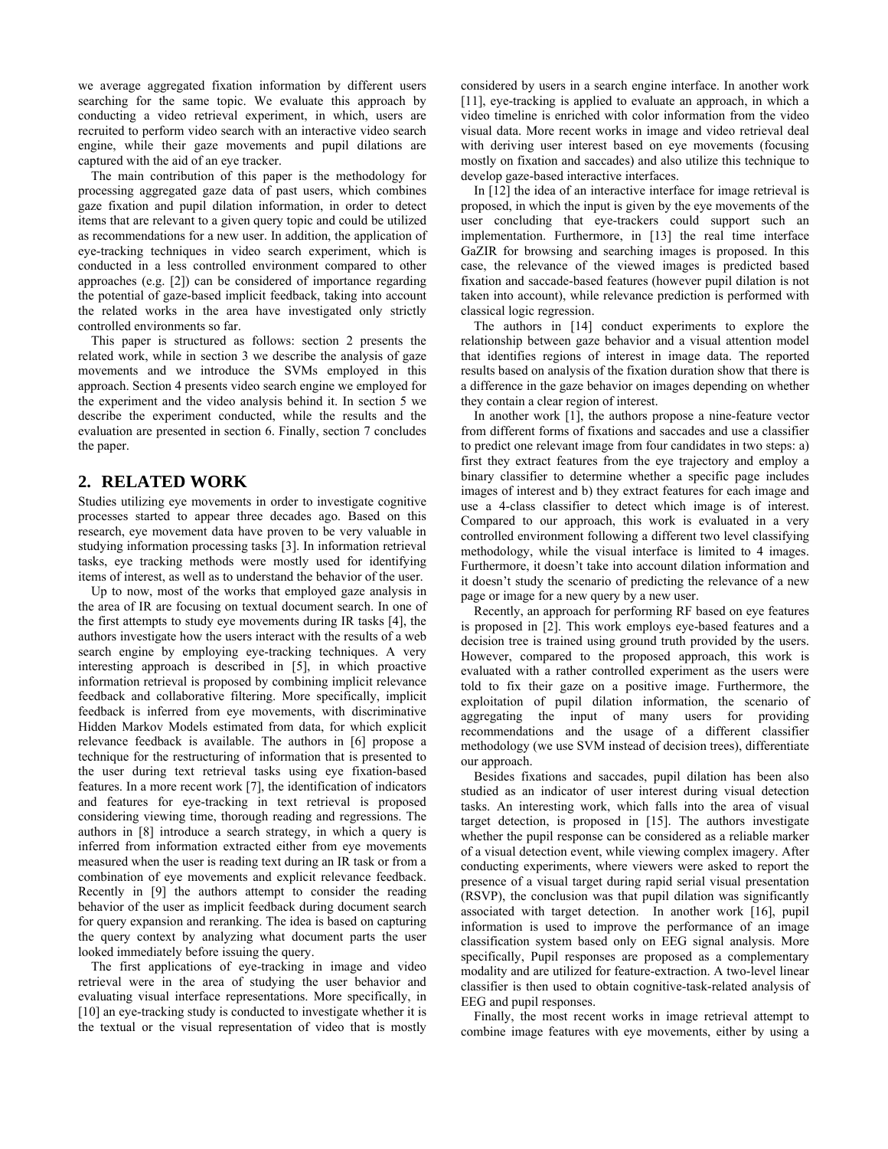we average aggregated fixation information by different users searching for the same topic. We evaluate this approach by conducting a video retrieval experiment, in which, users are recruited to perform video search with an interactive video search engine, while their gaze movements and pupil dilations are captured with the aid of an eye tracker.

The main contribution of this paper is the methodology for processing aggregated gaze data of past users, which combines gaze fixation and pupil dilation information, in order to detect items that are relevant to a given query topic and could be utilized as recommendations for a new user. In addition, the application of eye-tracking techniques in video search experiment, which is conducted in a less controlled environment compared to other approaches (e.g. [2]) can be considered of importance regarding the potential of gaze-based implicit feedback, taking into account the related works in the area have investigated only strictly controlled environments so far.

This paper is structured as follows: section 2 presents the related work, while in section 3 we describe the analysis of gaze movements and we introduce the SVMs employed in this approach. Section 4 presents video search engine we employed for the experiment and the video analysis behind it. In section 5 we describe the experiment conducted, while the results and the evaluation are presented in section 6. Finally, section 7 concludes the paper.

## **2. RELATED WORK**

Studies utilizing eye movements in order to investigate cognitive processes started to appear three decades ago. Based on this research, eye movement data have proven to be very valuable in studying information processing tasks [3]. In information retrieval tasks, eye tracking methods were mostly used for identifying items of interest, as well as to understand the behavior of the user.

Up to now, most of the works that employed gaze analysis in the area of IR are focusing on textual document search. In one of the first attempts to study eye movements during IR tasks [4], the authors investigate how the users interact with the results of a web search engine by employing eye-tracking techniques. A very interesting approach is described in [5], in which proactive information retrieval is proposed by combining implicit relevance feedback and collaborative filtering. More specifically, implicit feedback is inferred from eye movements, with discriminative Hidden Markov Models estimated from data, for which explicit relevance feedback is available. The authors in [6] propose a technique for the restructuring of information that is presented to the user during text retrieval tasks using eye fixation-based features. In a more recent work [7], the identification of indicators and features for eye-tracking in text retrieval is proposed considering viewing time, thorough reading and regressions. The authors in [8] introduce a search strategy, in which a query is inferred from information extracted either from eye movements measured when the user is reading text during an IR task or from a combination of eye movements and explicit relevance feedback. Recently in [9] the authors attempt to consider the reading behavior of the user as implicit feedback during document search for query expansion and reranking. The idea is based on capturing the query context by analyzing what document parts the user looked immediately before issuing the query.

The first applications of eye-tracking in image and video retrieval were in the area of studying the user behavior and evaluating visual interface representations. More specifically, in [10] an eye-tracking study is conducted to investigate whether it is the textual or the visual representation of video that is mostly considered by users in a search engine interface. In another work [11], eye-tracking is applied to evaluate an approach, in which a video timeline is enriched with color information from the video visual data. More recent works in image and video retrieval deal with deriving user interest based on eye movements (focusing mostly on fixation and saccades) and also utilize this technique to develop gaze-based interactive interfaces.

In [12] the idea of an interactive interface for image retrieval is proposed, in which the input is given by the eye movements of the user concluding that eye-trackers could support such an implementation. Furthermore, in [13] the real time interface GaZIR for browsing and searching images is proposed. In this case, the relevance of the viewed images is predicted based fixation and saccade-based features (however pupil dilation is not taken into account), while relevance prediction is performed with classical logic regression.

The authors in [14] conduct experiments to explore the relationship between gaze behavior and a visual attention model that identifies regions of interest in image data. The reported results based on analysis of the fixation duration show that there is a difference in the gaze behavior on images depending on whether they contain a clear region of interest.

In another work [1], the authors propose a nine-feature vector from different forms of fixations and saccades and use a classifier to predict one relevant image from four candidates in two steps: a) first they extract features from the eye trajectory and employ a binary classifier to determine whether a specific page includes images of interest and b) they extract features for each image and use a 4-class classifier to detect which image is of interest. Compared to our approach, this work is evaluated in a very controlled environment following a different two level classifying methodology, while the visual interface is limited to 4 images. Furthermore, it doesn't take into account dilation information and it doesn't study the scenario of predicting the relevance of a new page or image for a new query by a new user.

Recently, an approach for performing RF based on eye features is proposed in [2]. This work employs eye-based features and a decision tree is trained using ground truth provided by the users. However, compared to the proposed approach, this work is evaluated with a rather controlled experiment as the users were told to fix their gaze on a positive image. Furthermore, the exploitation of pupil dilation information, the scenario of aggregating the input of many users for providing recommendations and the usage of a different classifier methodology (we use SVM instead of decision trees), differentiate our approach.

Besides fixations and saccades, pupil dilation has been also studied as an indicator of user interest during visual detection tasks. An interesting work, which falls into the area of visual target detection, is proposed in [15]. The authors investigate whether the pupil response can be considered as a reliable marker of a visual detection event, while viewing complex imagery. After conducting experiments, where viewers were asked to report the presence of a visual target during rapid serial visual presentation (RSVP), the conclusion was that pupil dilation was significantly associated with target detection. In another work [16], pupil information is used to improve the performance of an image classification system based only on EEG signal analysis. More specifically, Pupil responses are proposed as a complementary modality and are utilized for feature-extraction. A two-level linear classifier is then used to obtain cognitive-task-related analysis of EEG and pupil responses.

Finally, the most recent works in image retrieval attempt to combine image features with eye movements, either by using a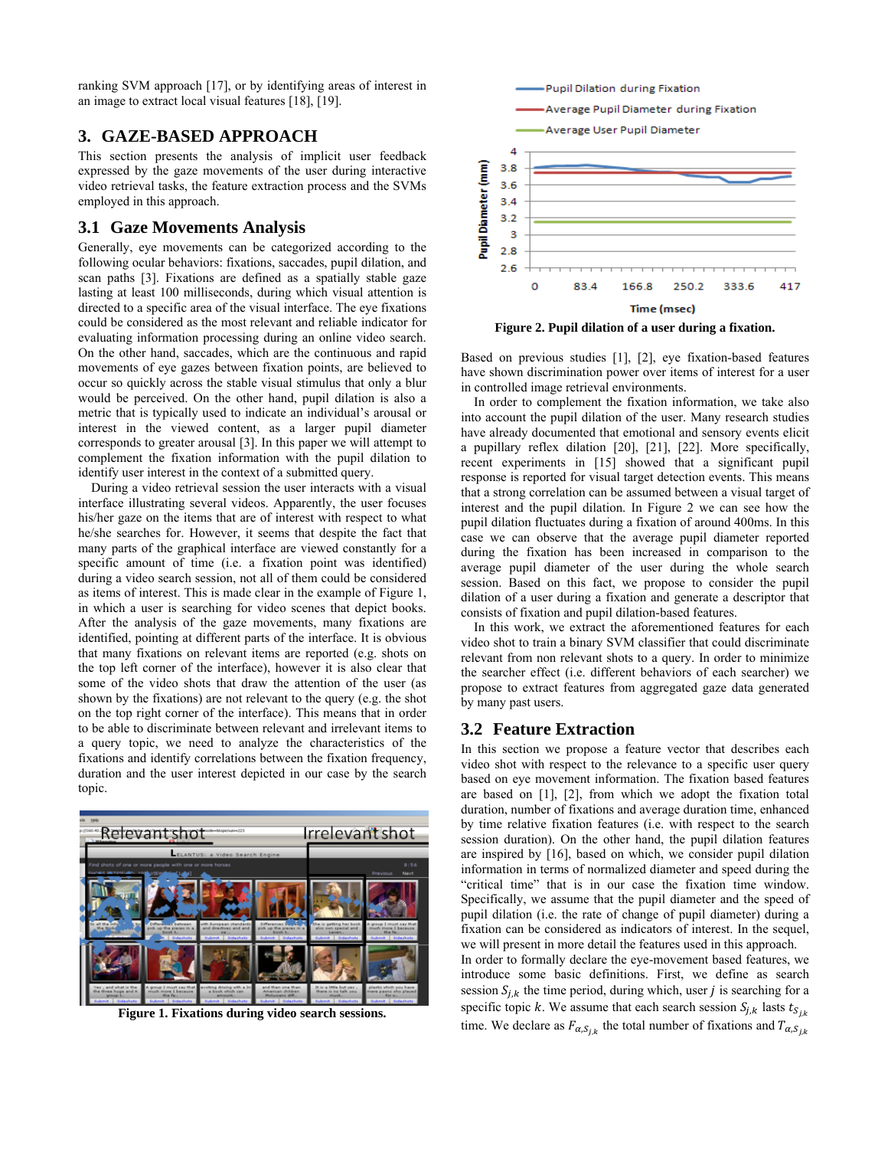ranking SVM approach [17], or by identifying areas of interest in an image to extract local visual features [18], [19].

# **3. GAZE-BASED APPROACH**

This section presents the analysis of implicit user feedback expressed by the gaze movements of the user during interactive video retrieval tasks, the feature extraction process and the SVMs employed in this approach.

## **3.1 Gaze Movements Analysis**

Generally, eye movements can be categorized according to the following ocular behaviors: fixations, saccades, pupil dilation, and scan paths [3]. Fixations are defined as a spatially stable gaze lasting at least 100 milliseconds, during which visual attention is directed to a specific area of the visual interface. The eye fixations could be considered as the most relevant and reliable indicator for evaluating information processing during an online video search. On the other hand, saccades, which are the continuous and rapid movements of eye gazes between fixation points, are believed to occur so quickly across the stable visual stimulus that only a blur would be perceived. On the other hand, pupil dilation is also a metric that is typically used to indicate an individual's arousal or interest in the viewed content, as a larger pupil diameter corresponds to greater arousal [3]. In this paper we will attempt to complement the fixation information with the pupil dilation to identify user interest in the context of a submitted query.

During a video retrieval session the user interacts with a visual interface illustrating several videos. Apparently, the user focuses his/her gaze on the items that are of interest with respect to what he/she searches for. However, it seems that despite the fact that many parts of the graphical interface are viewed constantly for a specific amount of time (i.e. a fixation point was identified) during a video search session, not all of them could be considered as items of interest. This is made clear in the example of Figure 1, in which a user is searching for video scenes that depict books. After the analysis of the gaze movements, many fixations are identified, pointing at different parts of the interface. It is obvious that many fixations on relevant items are reported (e.g. shots on the top left corner of the interface), however it is also clear that some of the video shots that draw the attention of the user (as shown by the fixations) are not relevant to the query (e.g. the shot on the top right corner of the interface). This means that in order to be able to discriminate between relevant and irrelevant items to a query topic, we need to analyze the characteristics of the fixations and identify correlations between the fixation frequency, duration and the user interest depicted in our case by the search topic.



**Figure 1. Fixations during video search sessions.** 



**Figure 2. Pupil dilation of a user during a fixation.** 

Based on previous studies [1], [2], eye fixation-based features have shown discrimination power over items of interest for a user in controlled image retrieval environments.

In order to complement the fixation information, we take also into account the pupil dilation of the user. Many research studies have already documented that emotional and sensory events elicit a pupillary reflex dilation [20], [21], [22]. More specifically, recent experiments in [15] showed that a significant pupil response is reported for visual target detection events. This means that a strong correlation can be assumed between a visual target of interest and the pupil dilation. In Figure 2 we can see how the pupil dilation fluctuates during a fixation of around 400ms. In this case we can observe that the average pupil diameter reported during the fixation has been increased in comparison to the average pupil diameter of the user during the whole search session. Based on this fact, we propose to consider the pupil dilation of a user during a fixation and generate a descriptor that consists of fixation and pupil dilation-based features.

In this work, we extract the aforementioned features for each video shot to train a binary SVM classifier that could discriminate relevant from non relevant shots to a query. In order to minimize the searcher effect (i.e. different behaviors of each searcher) we propose to extract features from aggregated gaze data generated by many past users.

## **3.2 Feature Extraction**

In this section we propose a feature vector that describes each video shot with respect to the relevance to a specific user query based on eye movement information. The fixation based features are based on [1], [2], from which we adopt the fixation total duration, number of fixations and average duration time, enhanced by time relative fixation features (i.e. with respect to the search session duration). On the other hand, the pupil dilation features are inspired by [16], based on which, we consider pupil dilation information in terms of normalized diameter and speed during the "critical time" that is in our case the fixation time window. Specifically, we assume that the pupil diameter and the speed of pupil dilation (i.e. the rate of change of pupil diameter) during a fixation can be considered as indicators of interest. In the sequel, we will present in more detail the features used in this approach. In order to formally declare the eye-movement based features, we introduce some basic definitions. First, we define as search session  $S_{i,k}$  the time period, during which, user *j* is searching for a

specific topic k. We assume that each search session  $S_{j,k}$  lasts  $t_{S_{j,k}}$ time. We declare as  $F_{\alpha,s_{jk}}$  the total number of fixations and  $T_{\alpha,s_{jk}}$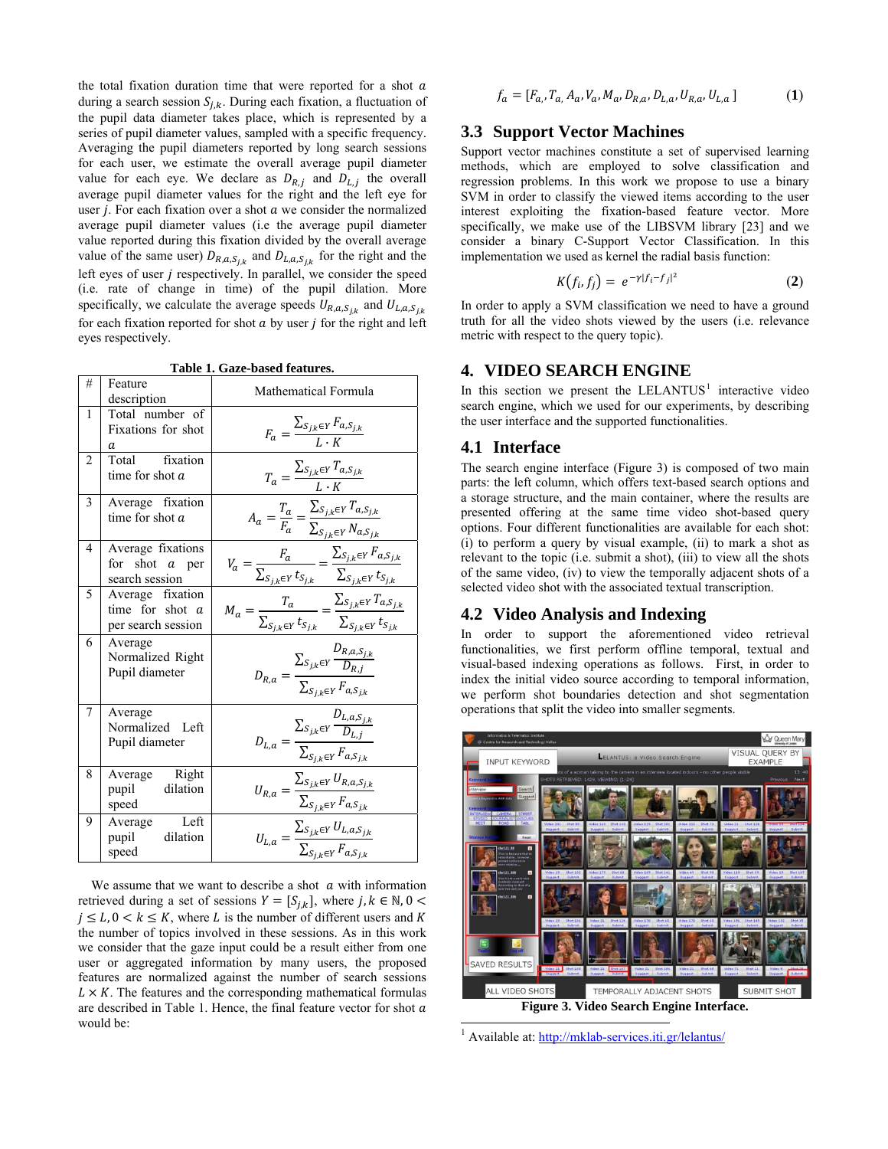the total fixation duration time that were reported for a shot  $a$ during a search session  $S_{i,k}$ . During each fixation, a fluctuation of the pupil data diameter takes place, which is represented by a series of pupil diameter values, sampled with a specific frequency. Averaging the pupil diameters reported by long search sessions for each user, we estimate the overall average pupil diameter value for each eye. We declare as  $D_{R,i}$  and  $D_{L,i}$  the overall average pupil diameter values for the right and the left eye for user  $j$ . For each fixation over a shot  $a$  we consider the normalized average pupil diameter values (i.e the average pupil diameter value reported during this fixation divided by the overall average value of the same user)  $D_{R,a,s_{i,k}}$  and  $D_{L,a,s_{i,k}}$  for the right and the left eyes of user  $j$  respectively. In parallel, we consider the speed (i.e. rate of change in time) of the pupil dilation. More specifically, we calculate the average speeds  $U_{R,a,S_{ik}}$  and  $U_{L,a,S_{ik}}$ for each fixation reported for shot  $a$  by user  $j$  for the right and left eyes respectively.

**Table 1. Gaze-based features.** 

| #              | Feature<br>description                                      | Mathematical Formula                                                                                                               |
|----------------|-------------------------------------------------------------|------------------------------------------------------------------------------------------------------------------------------------|
| 1              | Total number of<br>Fixations for shot<br>а                  | $F_a = \frac{\sum_{S_{j,k} \in Y} F_{a,S_{j,k}}}{I \cdot K}$                                                                       |
| $\overline{c}$ | Total fixation<br>time for shot $a$                         | $T_a = \frac{\sum_{S_{j,k} \in Y} T_{a,S_{j,k}}}{L \cdot K}$                                                                       |
| 3              | Average fixation<br>time for shot a                         | $A_a = \frac{T_a}{F_a} = \frac{\sum_{S_{j,k} \in Y} T_{a,S_{j,k}}}{\sum_{S_{j,k} \in Y} N_{a,S_{j,k}}}$                            |
| 4              | Average fixations<br>for shot $a$ per<br>search session     | $V_a = \frac{F_a}{\sum_{S_{j,k} \in Y} t_{S_{j,k}}} = \frac{\sum_{S_{j,k} \in Y} F_{a,S_{j,k}}}{\sum_{S_{j,k} \in Y} t_{S_{j,k}}}$ |
| 5              | Average fixation<br>time for shot $a$<br>per search session | $M_a = \frac{T_a}{\sum_{S_{j,k} \in Y} t_{S_{j,k}}} = \frac{\sum_{S_{j,k} \in Y} T_{a,S_{j,k}}}{\sum_{S_{j,k} \in Y} t_{S_{j,k}}}$ |
| 6              | Average<br>Normalized Right<br>Pupil diameter               | $D_{R,a} = \frac{\sum_{S_{j,k} \in Y} \frac{D_{R,a,S_{j,k}}}{D_{R,j}}}{\sum_{S_{j,k} \in Y} F_{a,S_{j,k}}}$                        |
| 7              | Average<br>Normalized Left<br>Pupil diameter                | $D_{L,a} = \frac{\sum_{S_{j,k} \in Y} \frac{D_{L,a,S_{j,k}}}{D_{L,j}}}{\sum_{S_{j,k} \in Y} F_{a,S_{j,k}}}$                        |
| 8              | Average Right<br>pupil dilation<br>speed                    | $U_{R,a} = \frac{\sum_{S_{j,k} \in Y} U_{R,a,S_{j,k}}}{\sum_{S_{j,k} \in Y} F_{a,S_{j,k}}}$                                        |
| 9              | Left<br>Average<br>dilation<br>pupil<br>speed               | $U_{L,a} = \frac{\sum_{S_{j,k} \in Y} U_{L,a,S_{j,k}}}{\sum_{S_{i,k} \in Y} F_{a,S_{j,k}}}$                                        |

<span id="page-3-0"></span>We assume that we want to describe a shot  $\alpha$  with information retrieved during a set of sessions  $Y = [S_{i,k}]$ , where  $j, k \in \mathbb{N}, 0 <$  $j \leq L$ ,  $0 \leq k \leq K$ , where L is the number of different users and K the number of topics involved in these sessions. As in this work we consider that the gaze input could be a result either from one user or aggregated information by many users, the proposed features are normalized against the number of search sessions  $L \times K$ . The features and the corresponding mathematical formulas are described in Table 1. Hence, the final feature vector for shot  $a$ would be:

$$
f_a = [F_{a_i}, T_{a_i}, A_a, V_a, M_a, D_{R,a}, D_{L,a}, U_{R,a}, U_{L,a}] \tag{1}
$$

#### **3.3 Support Vector Machines**

Support vector machines constitute a set of supervised learning methods, which are employed to solve classification and regression problems. In this work we propose to use a binary SVM in order to classify the viewed items according to the user interest exploiting the fixation-based feature vector. More specifically, we make use of the LIBSVM library [23] and we consider a binary C-Support Vector Classification. In this implementation we used as kernel the radial basis function:

$$
K(f_i, f_j) = e^{-\gamma |f_i - f_j|^2}
$$
 (2)

In order to apply a SVM classification we need to have a ground truth for all the video shots viewed by the users (i.e. relevance metric with respect to the query topic).

#### **4. VIDEO SEARCH ENGINE**

In this section we present the  $LELANTUS<sup>1</sup>$  $LELANTUS<sup>1</sup>$  $LELANTUS<sup>1</sup>$  interactive video search engine, which we used for our experiments, by describing the user interface and the supported functionalities.

#### **4.1 Interface**

The search engine interface (Figure 3) is composed of two main parts: the left column, which offers text-based search options and a storage structure, and the main container, where the results are presented offering at the same time video shot-based query options. Four different functionalities are available for each shot: (i) to perform a query by visual example, (ii) to mark a shot as relevant to the topic (i.e. submit a shot), (iii) to view all the shots of the same video, (iv) to view the temporally adjacent shots of a selected video shot with the associated textual transcription.

#### **4.2 Video Analysis and Indexing**

In order to support the aforementioned video retrieval functionalities, we first perform offline temporal, textual and visual-based indexing operations as follows. First, in order to index the initial video source according to temporal information, we perform shot boundaries detection and shot segmentation operations that split the video into smaller segments.



-<br><sup>1</sup> Available at: <http://mklab-services.iti.gr/lelantus/>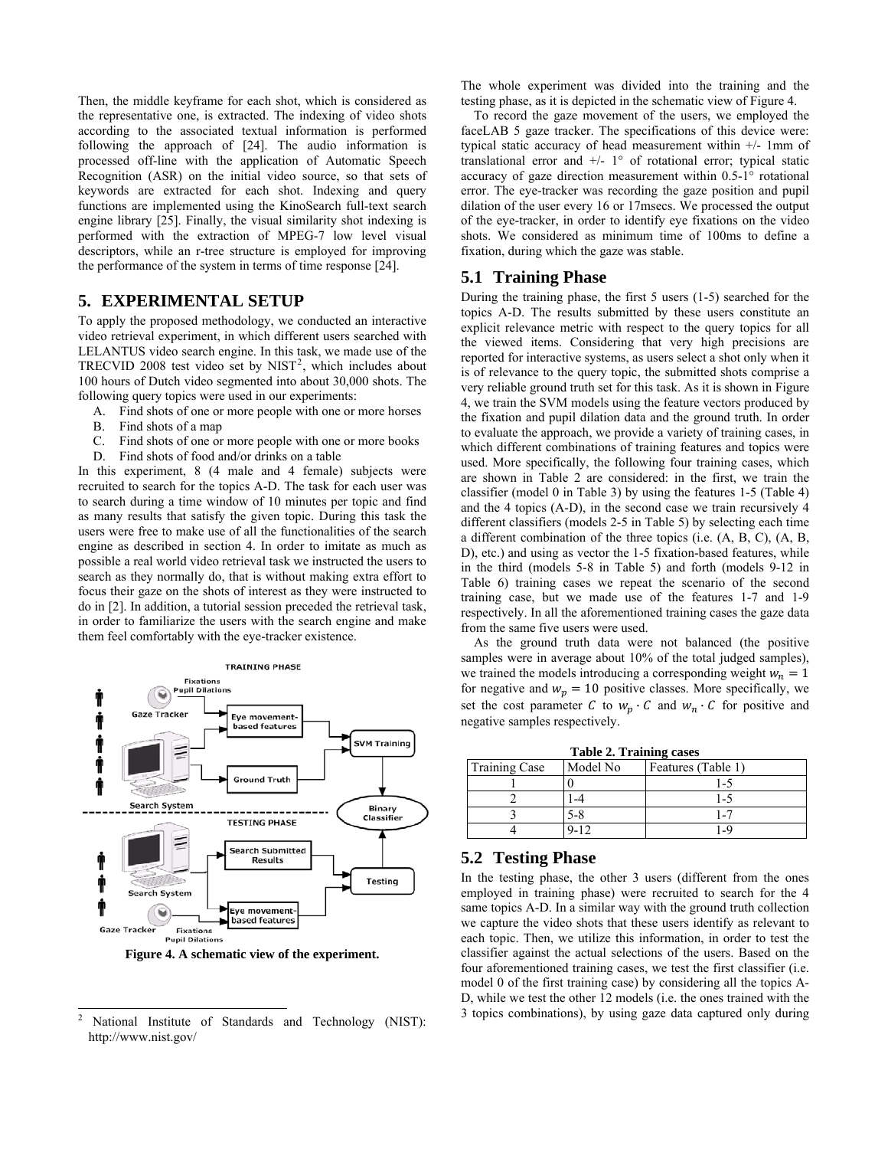Then, the middle keyframe for each shot, which is considered as the representative one, is extracted. The indexing of video shots according to the associated textual information is performed following the approach of [24]. The audio information is processed off-line with the application of Automatic Speech Recognition (ASR) on the initial video source, so that sets of keywords are extracted for each shot. Indexing and query functions are implemented using the KinoSearch full-text search engine library [25]. Finally, the visual similarity shot indexing is performed with the extraction of MPEG-7 low level visual descriptors, while an r-tree structure is employed for improving the performance of the system in terms of time response [24].

## **5. EXPERIMENTAL SETUP**

To apply the proposed methodology, we conducted an interactive video retrieval experiment, in which different users searched with LELANTUS video search engine. In this task, we made use of the TRECVID [2](#page-4-0)008 test video set by  $NIST<sup>2</sup>$ , which includes about 100 hours of Dutch video segmented into about 30,000 shots. The following query topics were used in our experiments:

- A. Find shots of one or more people with one or more horses
- B. Find shots of a map
- C. Find shots of one or more people with one or more books
- D. Find shots of food and/or drinks on a table

In this experiment, 8 (4 male and 4 female) subjects were recruited to search for the topics A-D. The task for each user was to search during a time window of 10 minutes per topic and find as many results that satisfy the given topic. During this task the users were free to make use of all the functionalities of the search engine as described in section 4. In order to imitate as much as possible a real world video retrieval task we instructed the users to search as they normally do, that is without making extra effort to focus their gaze on the shots of interest as they were instructed to do in [2]. In addition, a tutorial session preceded the retrieval task, in order to familiarize the users with the search engine and make them feel comfortably with the eye-tracker existence.



**Figure 4. A schematic view of the experiment.** 

 $\overline{a}$ 

The whole experiment was divided into the training and the testing phase, as it is depicted in the schematic view of Figure 4.

To record the gaze movement of the users, we employed the faceLAB 5 gaze tracker. The specifications of this device were: typical static accuracy of head measurement within +/- 1mm of translational error and  $+/- 1^{\circ}$  of rotational error; typical static accuracy of gaze direction measurement within 0.5-1° rotational error. The eye-tracker was recording the gaze position and pupil dilation of the user every 16 or 17msecs. We processed the output of the eye-tracker, in order to identify eye fixations on the video shots. We considered as minimum time of 100ms to define a fixation, during which the gaze was stable.

#### **5.1 Training Phase**

During the training phase, the first 5 users (1-5) searched for the topics A-D. The results submitted by these users constitute an explicit relevance metric with respect to the query topics for all the viewed items. Considering that very high precisions are reported for interactive systems, as users select a shot only when it is of relevance to the query topic, the submitted shots comprise a very reliable ground truth set for this task. As it is shown in Figure 4, we train the SVM models using the feature vectors produced by the fixation and pupil dilation data and the ground truth. In order to evaluate the approach, we provide a variety of training cases, in which different combinations of training features and topics were used. More specifically, the following four training cases, which are shown in Table 2 are considered: in the first, we train the classifier (model 0 in Table 3) by using the features 1-5 (Table 4) and the 4 topics (A-D), in the second case we train recursively 4 different classifiers (models 2-5 in Table 5) by selecting each time a different combination of the three topics (i.e. (A, B, C), (A, B, D), etc.) and using as vector the 1-5 fixation-based features, while in the third (models 5-8 in Table 5) and forth (models 9-12 in Table 6) training cases we repeat the scenario of the second training case, but we made use of the features 1-7 and 1-9 respectively. In all the aforementioned training cases the gaze data from the same five users were used.

As the ground truth data were not balanced (the positive samples were in average about 10% of the total judged samples), we trained the models introducing a corresponding weight  $w_n = 1$ for negative and  $w_p = 10$  positive classes. More specifically, we set the cost parameter C to  $w_p \cdot C$  and  $w_n \cdot C$  for positive and negative samples respectively.

**Table 2. Training cases** 

| Table 2: Training cabes |          |                    |  |  |  |
|-------------------------|----------|--------------------|--|--|--|
| <b>Training Case</b>    | Model No | Features (Table 1) |  |  |  |
|                         |          |                    |  |  |  |
|                         |          |                    |  |  |  |
|                         | ≺-د      |                    |  |  |  |
|                         |          | 1 _ C              |  |  |  |

#### **5.2 Testing Phase**

In the testing phase, the other 3 users (different from the ones employed in training phase) were recruited to search for the 4 same topics A-D. In a similar way with the ground truth collection we capture the video shots that these users identify as relevant to each topic. Then, we utilize this information, in order to test the classifier against the actual selections of the users. Based on the four aforementioned training cases, we test the first classifier (i.e. model 0 of the first training case) by considering all the topics A-D, while we test the other 12 models (i.e. the ones trained with the 3 topics combinations), by using gaze data captured only during

<span id="page-4-0"></span><sup>2</sup> National Institute of Standards and Technology (NIST): http://www.nist.gov/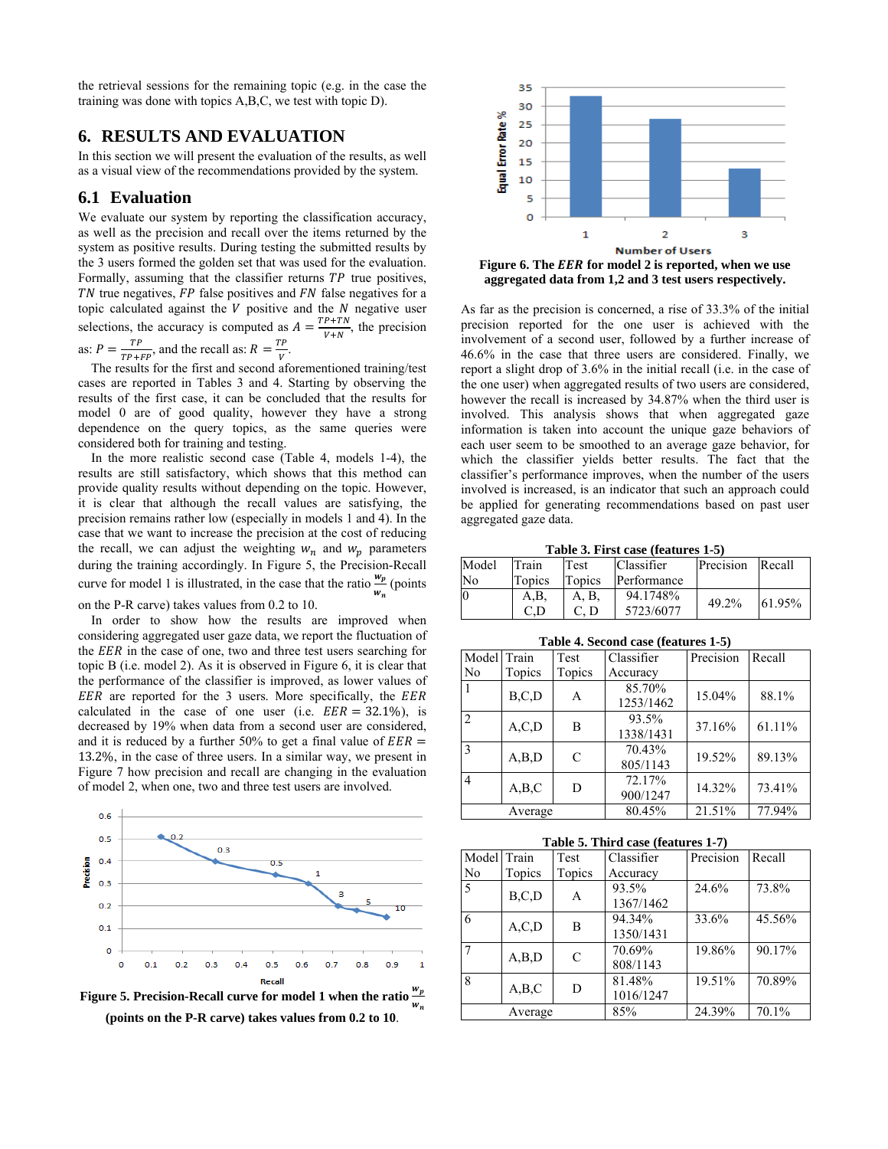the retrieval sessions for the remaining topic (e.g. in the case the training was done with topics A,B,C, we test with topic D).

# **6. RESULTS AND EVALUATION**

In this section we will present the evaluation of the results, as well as a visual view of the recommendations provided by the system.

#### **6.1 Evaluation**

We evaluate our system by reporting the classification accuracy, as well as the precision and recall over the items returned by the system as positive results. During testing the submitted results by the 3 users formed the golden set that was used for the evaluation. Formally, assuming that the classifier returns  $TP$  true positives,  $TN$  true negatives,  $FP$  false positives and  $FN$  false negatives for a topic calculated against the  $V$  positive and the  $N$  negative user selections, the accuracy is computed as  $A = \frac{TP + TN}{V + N}$ , the precision as:  $P = \frac{TP}{TP + FP}$ , and the recall as:  $R = \frac{TP}{V}$ .

The results for the first and second aforementioned training/test cases are reported in Tables 3 and 4. Starting by observing the results of the first case, it can be concluded that the results for model 0 are of good quality, however they have a strong dependence on the query topics, as the same queries were considered both for training and testing.

In the more realistic second case (Table 4, models 1-4), the results are still satisfactory, which shows that this method can provide quality results without depending on the topic. However, it is clear that although the recall values are satisfying, the precision remains rather low (especially in models 1 and 4). In the case that we want to increase the precision at the cost of reducing the recall, we can adjust the weighting  $w_n$  and  $w_p$  parameters during the training accordingly. In Figure 5, the Precision-Recall curve for model 1 is illustrated, in the case that the ratio  $\frac{w_p}{w_n}$  (points on the P-R carve) takes values from 0.2 to 10.

In order to show how the results are improved when considering aggregated user gaze data, we report the fluctuation of the *EER* in the case of one, two and three test users searching for topic Β (i.e. model 2). As it is observed in Figure 6, it is clear that the performance of the classifier is improved, as lower values of EER are reported for the 3 users. More specifically, the EER calculated in the case of one user (i.e.  $EER = 32.1\%$ ), is decreased by 19% when data from a second user are considered, and it is reduced by a further 50% to get a final value of  $EER =$ 13.2%, in the case of three users. In a similar way, we present in Figure 7 how precision and recall are changing in the evaluation of model 2, when one, two and three test users are involved.



**Figure 5. Precision-Recall curve for model 1 when the ratio**  $\frac{w_p}{w_n}$ **(points on the P-R carve) takes values from 0.2 to 10**.



As far as the precision is concerned, a rise of 33.3% of the initial precision reported for the one user is achieved with the involvement of a second user, followed by a further increase of 46.6% in the case that three users are considered. Finally, we report a slight drop of 3.6% in the initial recall (i.e. in the case of the one user) when aggregated results of two users are considered, however the recall is increased by 34.87% when the third user is involved. This analysis shows that when aggregated gaze information is taken into account the unique gaze behaviors of each user seem to be smoothed to an average gaze behavior, for which the classifier yields better results. The fact that the classifier's performance improves, when the number of the users involved is increased, is an indicator that such an approach could be applied for generating recommendations based on past user aggregated gaze data.

**Table 3. First case (features 1-5)** 

| Model | Train  | <b>Test</b> | <b>Classifier</b> | Precision | Recall |
|-------|--------|-------------|-------------------|-----------|--------|
| No    | Topics | Topics      | Performance       |           |        |
|       | A.B    | A. B.       | 94.1748%          | 49.2%     | 61.95% |
|       |        | C. D        | 5723/6077         |           |        |

**Table 4. Second case (features 1-5)** 

| Model          | Train   | Test          | Classifier          | Precision | Recall |
|----------------|---------|---------------|---------------------|-----------|--------|
| No             | Topics  | Topics        | Accuracy            |           |        |
|                | B, C, D | A             | 85.70%<br>1253/1462 | 15.04%    | 88.1%  |
| $\overline{2}$ | A, C, D | B             | 93.5%<br>1338/1431  | 37.16%    | 61.11% |
| 3              | A,B,D   | $\mathcal{C}$ | 70.43%<br>805/1143  | 19.52%    | 89.13% |
| 4              | A,B,C   | D             | 72.17%<br>900/1247  | 14.32%    | 73.41% |
|                | Average |               | 80.45%              | 21.51%    | 77.94% |

**Table 5. Third case (features 1-7)** 

| Model Train    |         | Test          | Classifier | Precision | Recall |
|----------------|---------|---------------|------------|-----------|--------|
| N <sub>0</sub> | Topics  | Topics        | Accuracy   |           |        |
| 5              | B,C,D   | A             | 93.5%      | 24.6%     | 73.8%  |
|                |         |               | 1367/1462  |           |        |
| 6              | A, C, D | B             | 94.34%     | 33.6%     | 45.56% |
|                |         |               | 1350/1431  |           |        |
|                | A,B,D   | $\mathcal{C}$ | 70.69%     | 19.86%    | 90.17% |
|                |         |               | 808/1143   |           |        |
| 8              | A,B,C   | D             | 81.48%     | 19.51%    | 70.89% |
|                |         |               | 1016/1247  |           |        |
|                | Average |               | 85%        | 24.39%    | 70.1%  |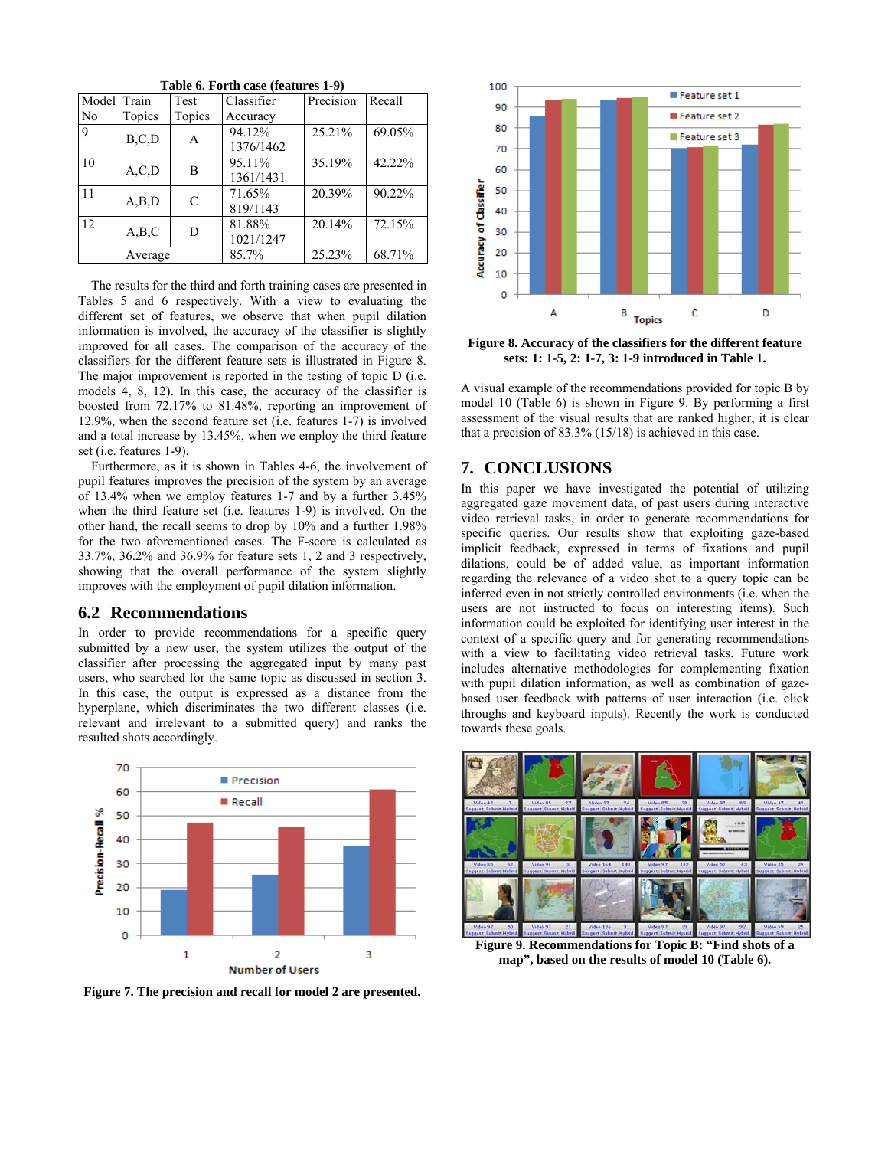| Table 6. Forth case (features 1-9) |         |               |            |           |        |
|------------------------------------|---------|---------------|------------|-----------|--------|
| Model Train                        |         | Test          | Classifier | Precision | Recall |
| No                                 | Topics  | Topics        | Accuracy   |           |        |
| 9                                  | B, C, D | A             | 94.12%     | 25.21%    | 69.05% |
|                                    |         |               | 1376/1462  |           |        |
| 10                                 | A, C, D | B             | 95.11%     | 35.19%    | 42.22% |
|                                    |         |               | 1361/1431  |           |        |
| 11                                 | A,B,D   | $\mathcal{C}$ | 71.65%     | 20.39%    | 90.22% |
|                                    |         |               | 819/1143   |           |        |
| 12                                 | A,B,C   | D             | 81.88%     | 20.14%    | 72.15% |
|                                    |         |               | 1021/1247  |           |        |
|                                    | Average |               | 85.7%      | 25.23%    | 68.71% |

**Table 6. Forth case (features 1-9)** 

The results for the third and forth training cases are presented in Tables 5 and 6 respectively. With a view to evaluating the different set of features, we observe that when pupil dilation information is involved, the accuracy of the classifier is slightly improved for all cases. The comparison of the accuracy of the classifiers for the different feature sets is illustrated in Figure 8. The major improvement is reported in the testing of topic D (i.e. models 4, 8, 12). In this case, the accuracy of the classifier is boosted from 72.17% to 81.48%, reporting an improvement of 12.9%, when the second feature set (i.e. features 1-7) is involved and a total increase by 13.45%, when we employ the third feature set (i.e. features 1-9).

Furthermore, as it is shown in Tables 4-6, the involvement of pupil features improves the precision of the system by an average of 13.4% when we employ features 1-7 and by a further 3.45% when the third feature set (i.e. features 1-9) is involved. On the other hand, the recall seems to drop by 10% and a further 1.98% for the two aforementioned cases. The F-score is calculated as 33.7%, 36.2% and 36.9% for feature sets 1, 2 and 3 respectively, showing that the overall performance of the system slightly improves with the employment of pupil dilation information.

#### **6.2 Recommendations**

In order to provide recommendations for a specific query submitted by a new user, the system utilizes the output of the classifier after processing the aggregated input by many past users, who searched for the same topic as discussed in section 3. In this case, the output is expressed as a distance from the hyperplane, which discriminates the two different classes (i.e. relevant and irrelevant to a submitted query) and ranks the resulted shots accordingly.



**Figure 7. The precision and recall for model 2 are presented.** 



**Figure 8. Accuracy of the classifiers for the different feature sets: 1: 1-5, 2: 1-7, 3: 1-9 introduced in Table 1.** 

A visual example of the recommendations provided for topic B by model 10 (Table 6) is shown in Figure 9. By performing a first assessment of the visual results that are ranked higher, it is clear that a precision of 83.3% (15/18) is achieved in this case.

# **7. CONCLUSIONS**

In this paper we have investigated the potential of utilizing aggregated gaze movement data, of past users during interactive video retrieval tasks, in order to generate recommendations for specific queries. Our results show that exploiting gaze-based implicit feedback, expressed in terms of fixations and pupil dilations, could be of added value, as important information regarding the relevance of a video shot to a query topic can be inferred even in not strictly controlled environments (i.e. when the users are not instructed to focus on interesting items). Such information could be exploited for identifying user interest in the context of a specific query and for generating recommendations with a view to facilitating video retrieval tasks. Future work includes alternative methodologies for complementing fixation with pupil dilation information, as well as combination of gazebased user feedback with patterns of user interaction (i.e. click throughs and keyboard inputs). Recently the work is conducted towards these goals.



**Figure 9. Recommendations for Topic B: "Find shots of a map", based on the results of model 10 (Table 6).**